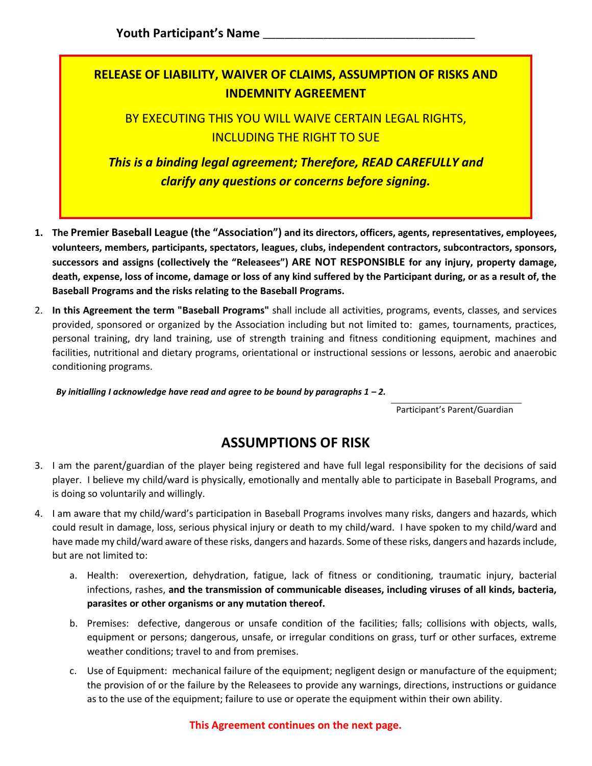# **RELEASE OF LIABILITY, WAIVER OF CLAIMS, ASSUMPTION OF RISKS AND INDEMNITY AGREEMENT**

# BY EXECUTING THIS YOU WILL WAIVE CERTAIN LEGAL RIGHTS, INCLUDING THE RIGHT TO SUE

*This is a binding legal agreement; Therefore, READ CAREFULLY and clarify any questions or concerns before signing.* 

- **1. The Premier Baseball League (the "Association") and its directors, officers, agents, representatives, employees, volunteers, members, participants, spectators, leagues, clubs, independent contractors, subcontractors, sponsors, successors and assigns (collectively the "Releasees") ARE NOT RESPONSIBLE for any injury, property damage, death, expense, loss of income, damage or loss of any kind suffered by the Participant during, or as a result of, the Baseball Programs and the risks relating to the Baseball Programs.**
- 2. **In this Agreement the term "Baseball Programs"** shall include all activities, programs, events, classes, and services provided, sponsored or organized by the Association including but not limited to: games, tournaments, practices, personal training, dry land training, use of strength training and fitness conditioning equipment, machines and facilities, nutritional and dietary programs, orientational or instructional sessions or lessons, aerobic and anaerobic conditioning programs.

*By initialling I acknowledge have read and agree to be bound by paragraphs 1 – 2.* 

Participant's Parent/Guardian

# **ASSUMPTIONS OF RISK**

- 3. I am the parent/guardian of the player being registered and have full legal responsibility for the decisions of said player. I believe my child/ward is physically, emotionally and mentally able to participate in Baseball Programs, and is doing so voluntarily and willingly.
- 4. I am aware that my child/ward's participation in Baseball Programs involves many risks, dangers and hazards, which could result in damage, loss, serious physical injury or death to my child/ward. I have spoken to my child/ward and have made my child/ward aware of these risks, dangers and hazards. Some of these risks, dangers and hazards include, but are not limited to:
	- a. Health: overexertion, dehydration, fatigue, lack of fitness or conditioning, traumatic injury, bacterial infections, rashes, **and the transmission of communicable diseases, including viruses of all kinds, bacteria, parasites or other organisms or any mutation thereof.**
	- b. Premises: defective, dangerous or unsafe condition of the facilities; falls; collisions with objects, walls, equipment or persons; dangerous, unsafe, or irregular conditions on grass, turf or other surfaces, extreme weather conditions; travel to and from premises.
	- c. Use of Equipment: mechanical failure of the equipment; negligent design or manufacture of the equipment; the provision of or the failure by the Releasees to provide any warnings, directions, instructions or guidance as to the use of the equipment; failure to use or operate the equipment within their own ability.

**This Agreement continues on the next page.**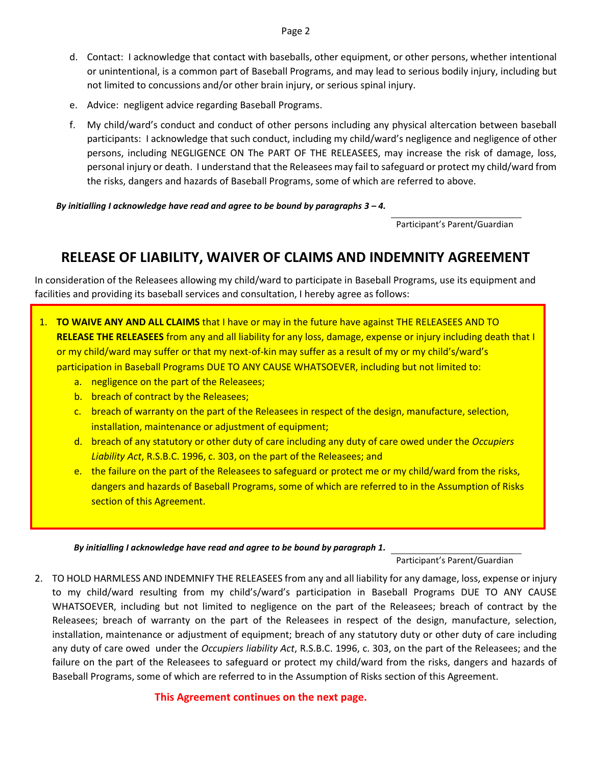- d. Contact: I acknowledge that contact with baseballs, other equipment, or other persons, whether intentional or unintentional, is a common part of Baseball Programs, and may lead to serious bodily injury, including but not limited to concussions and/or other brain injury, or serious spinal injury.
- e. Advice: negligent advice regarding Baseball Programs.
- f. My child/ward's conduct and conduct of other persons including any physical altercation between baseball participants: I acknowledge that such conduct, including my child/ward's negligence and negligence of other persons, including NEGLIGENCE ON The PART OF THE RELEASEES, may increase the risk of damage, loss, personal injury or death. I understand that the Releasees may fail to safeguard or protect my child/ward from the risks, dangers and hazards of Baseball Programs, some of which are referred to above.

*By initialling I acknowledge have read and agree to be bound by paragraphs 3 – 4.* 

Participant's Parent/Guardian

## **RELEASE OF LIABILITY, WAIVER OF CLAIMS AND INDEMNITY AGREEMENT**

In consideration of the Releasees allowing my child/ward to participate in Baseball Programs, use its equipment and facilities and providing its baseball services and consultation, I hereby agree as follows:

- 1. **TO WAIVE ANY AND ALL CLAIMS** that I have or may in the future have against THE RELEASEES AND TO **RELEASE THE RELEASEES** from any and all liability for any loss, damage, expense or injury including death that I or my child/ward may suffer or that my next-of-kin may suffer as a result of my or my child's/ward's participation in Baseball Programs DUE TO ANY CAUSE WHATSOEVER, including but not limited to:
	- a. negligence on the part of the Releasees;
	- b. breach of contract by the Releasees;
	- c. breach of warranty on the part of the Releasees in respect of the design, manufacture, selection, installation, maintenance or adjustment of equipment;
	- d. breach of any statutory or other duty of care including any duty of care owed under the *Occupiers Liability Act*, R.S.B.C. 1996, c. 303, on the part of the Releasees; and
	- e. the failure on the part of the Releasees to safeguard or protect me or my child/ward from the risks, dangers and hazards of Baseball Programs, some of which are referred to in the Assumption of Risks section of this Agreement.

*By initialling I acknowledge have read and agree to be bound by paragraph 1.*

Participant's Parent/Guardian

2. TO HOLD HARMLESS AND INDEMNIFY THE RELEASEES from any and all liability for any damage, loss, expense or injury to my child/ward resulting from my child's/ward's participation in Baseball Programs DUE TO ANY CAUSE WHATSOEVER, including but not limited to negligence on the part of the Releasees; breach of contract by the Releasees; breach of warranty on the part of the Releasees in respect of the design, manufacture, selection, installation, maintenance or adjustment of equipment; breach of any statutory duty or other duty of care including any duty of care owed under the *Occupiers liability Act*, R.S.B.C. 1996, c. 303, on the part of the Releasees; and the failure on the part of the Releasees to safeguard or protect my child/ward from the risks, dangers and hazards of Baseball Programs, some of which are referred to in the Assumption of Risks section of this Agreement.

**This Agreement continues on the next page.**

#### Page 2